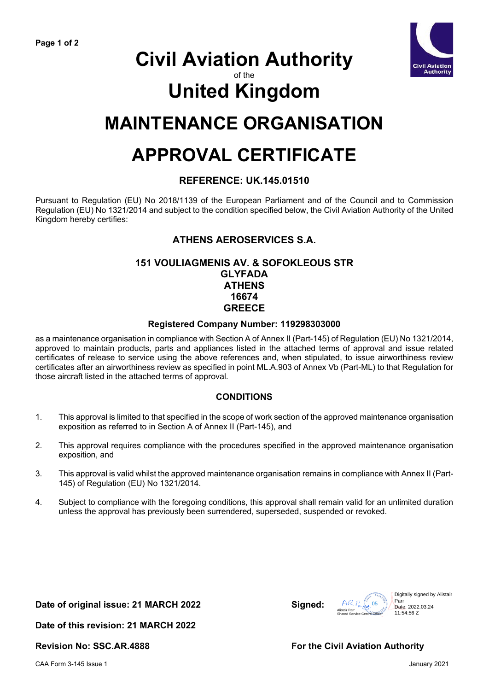

# **Civil Aviation Authority**

### of the

# **United Kingdom**

## **MAINTENANCE ORGANISATION**

# **APPROVAL CERTIFICATE**

#### **REFERENCE: UK.145.01510**

Pursuant to Regulation (EU) No 2018/1139 of the European Parliament and of the Council and to Commission Regulation (EU) No 1321/2014 and subject to the condition specified below, the Civil Aviation Authority of the United Kingdom hereby certifies:

### **ATHENS AEROSERVICES S.A.**

#### **151 VOULIAGMENIS AV. & SOFOKLEOUS STR GLYFADA ATHENS 16674 GREECE**

#### **Registered Company Number: 119298303000**

as a maintenance organisation in compliance with Section A of Annex II (Part-145) of Regulation (EU) No 1321/2014, approved to maintain products, parts and appliances listed in the attached terms of approval and issue related certificates of release to service using the above references and, when stipulated, to issue airworthiness review certificates after an airworthiness review as specified in point ML.A.903 of Annex Vb (Part-ML) to that Regulation for those aircraft listed in the attached terms of approval.

#### **CONDITIONS**

- 1. This approval is limited to that specified in the scope of work section of the approved maintenance organisation exposition as referred to in Section A of Annex II (Part-145), and
- 2. This approval requires compliance with the procedures specified in the approved maintenance organisation exposition, and
- 3. This approval is valid whilst the approved maintenance organisation remains in compliance with Annex II (Part-145) of Regulation (EU) No 1321/2014.
- 4. Subject to compliance with the foregoing conditions, this approval shall remain valid for an unlimited duration unless the approval has previously been surrendered, superseded, suspended or revoked.

#### **Date of original issue: 21 MARCH 2022 Signed:**

 $ACR$  $\left\{\begin{array}{c} \sqrt{N\cdot\epsilon_0}\sqrt{2\cdot\epsilon_0}\sqrt{2\cdot\epsilon_0}\sqrt{2\cdot\epsilon_0}\sqrt{2\cdot\epsilon_0}\sqrt{2\cdot\epsilon_0}\sqrt{2\cdot\epsilon_0}\sqrt{2\cdot\epsilon_0}\sqrt{2\cdot\epsilon_0}\sqrt{2\cdot\epsilon_0}\sqrt{2\cdot\epsilon_0}\sqrt{2\cdot\epsilon_0}\sqrt{2\cdot\epsilon_0}\sqrt{2\cdot\epsilon_0}\sqrt{2\cdot\epsilon_0}\sqrt{2\cdot\epsilon_0}\sqrt{2\cdot\epsilon_0}\sqrt{2\cdot\epsilon_0}\sqrt{2\cdot\epsilon_0}\sqrt{2\cdot\epsilon_0}\sqrt{2\cdot\epsilon_0$ Parr

Date: 2022.03.24 11:54:56 Z

**Date of this revision: 21 MARCH 2022**

### Revision No: SSC.AR.4888 **For the Civil Aviation Authority**